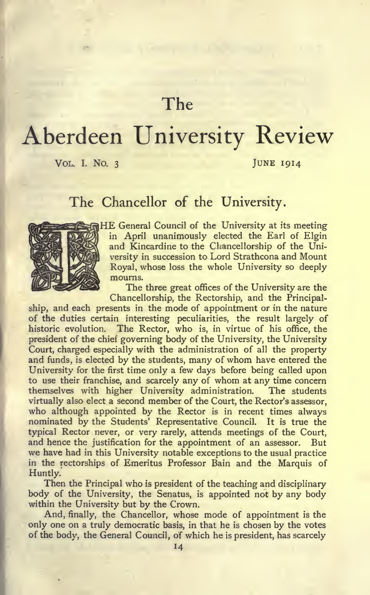## The

# Aberdeen University Review

VOL. I. NO. 3 JUNE 1914

### The Chancellor of the University.



HE General Council of the University at its meeting in April unanimously elected the Earl of Elgin and Kincardine to the Chancellorship of the University in succession to Lord Strathcona and Mount Royal, whose loss the whole University so deeply mourns.

The three great offices of the University are the Chancellorship, the Rectorship, and the Principal-

ship, and each presents in the mode of appointment or in the nature of the duties certain interesting peculiarities, the result largely of historic evolution. The Rector, who is, in virtue of his office, the president of the chief governing body of the University, the University Court, charged especially with the administration of all the property and funds, is elected by the students, many of whom have entered the University for the first time only a few days before being called upon to use their franchise, and scarcely any of whom at any time concern themselves with higher University administration. The students virtually also elect a second member of the Court, the Rector's assessor, who although appointed by the Rector is in recent times always nominated by the Students' Representative Council. It is true the typical Rector never, or very rarely, attends meetings of the Court, and hence the justification for the appointment of an assessor. But we have had in this University notable exceptions to the usual practice in the rectorships of Emeritus Professor Bain and the Marquis of Huntly.

Then the Principal who is president of the teaching and disciplinary body of the University, the Senatus, is appointed not by any body within the University but by the Crown.

And, finally, the Chancellor, whose mode of appointment is the only one on a truly democratic basis, in that he is chosen by the votes of the body, the General Council, of which he is president, has scarcely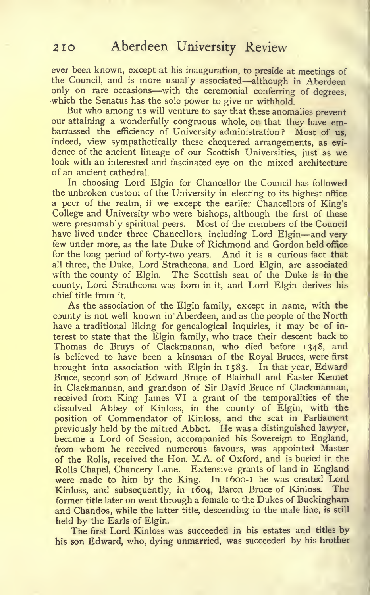ever been known, except at his inauguration, to preside at meetings of the Council, and is more usually associated—although in Aberdeen only on rare occasions—with the ceremonial conferring of degrees, which the Senatus has the sole power to give or withhold.

But who among us will venture to say that these anomalies prevent our attaining a wonderfully congruous whole, or that they have embarrassed the efficiency of University administration? Most of us, indeed, view sympathetically these chequered arrangements, as evi dence of the ancient lineage of our Scottish Universities, just as we look with an interested and fascinated eye on the mixed architecture of an ancient cathedral.

In choosing Lord Elgin for Chancellor the Council has followed the unbroken custom of the University in electing to its highest office a peer of the realm, if we except the earlier Chancellors of King's College and University who were bishops, although the first of these were presumably spiritual peers. Most of the members of the Council have lived under three Chancellors, including Lord Elgin-and very few under more, as the late Duke of Richmond and Gordon held office for the long period of forty-two years. And it is a curious fact that all three, the Duke, Lord Strathcona, and Lord Elgin, are associated with the county of Elgin. The Scottish seat of the Duke is in the county, Lord Strathcona was born in it, and Lord Elgin derives his chief title from it.

As the association of the Elgin family, except in name, with the county is not well known in Aberdeen, and as the people of the North have a traditional liking for genealogical inquiries, it may be of in terest to state that the Elgin family, who trace their descent back to Thomas de Bruys of Clackmannan, who died before 1348, and is believed to have been a kinsman of the Royal Bruces, were first brought into association with Elgin in 1583. In that year, Edward Bruce, second son of Edward Bruce of Blairhall and Easter Kennet in Clackmannan, and grandson of Sir David Bruce of Clackmannan, received from King James VI a grant of the temporalities of the dissolved Abbey of Kinloss, in the county of Elgin, with the position of Commendator of Kinloss, and the seat in Parliament previously held by the mitred Abbot. He was <sup>a</sup> distinguished lawyer, became a Lord of Session, accompanied his Sovereign to England, from whom he received numerous favours, was appointed Master of the Rolls, received the Hon. M.A. of Oxford, and is buried in the Rolls Chapel, Chancery Lane. Extensive grants of land in England were made to him by the King. In 1600-1 he was created Lord Kinloss, and subsequently, in 1604, Baron Bruce of Kinloss. The former title later on went through a female to the Dukes of Buckingham and Chandos, while the latter title, descending in the male line, is still held by the Earls of Elgin.

The first Lord Kinloss was succeeded in his estates and titles by his son Edward, who, dying unmarried, was succeeded by his brother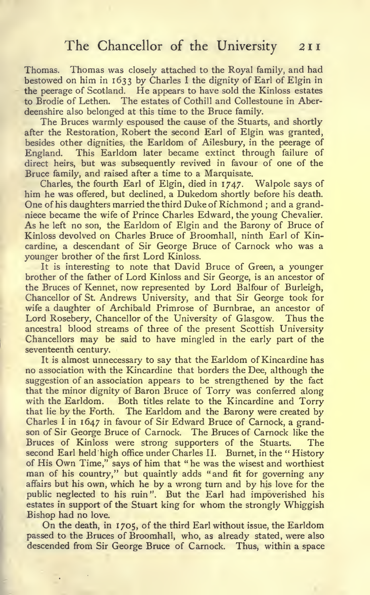Thomas. Thomas was closely attached to the Royal family, and had bestowed on him in 1633 by Charles <sup>I</sup> the dignity of Earl of Elgin in the peerage of Scotland. He appears to have sold the Kinloss estates to Brodie of Lethen. The estates of Cothill and Collestoune in Aberdeenshire also belonged at this time to the Bruce family.

The Bruces warmly espoused the cause of the Stuarts, and shortly after the Restoration, Robert the second Earl of Elgin was granted, besides other dignities, the Earldom of Ailesbury, in the peerage of England. This Earldom later became extinct through failure of direct heirs, but was subsequently revived in favour of one of the Bruce family, and raised after a time to a Marquisate.

Charles, the fourth Earl of Elgin, died in 1747. Walpole says of him he was offered, but declined, a Dukedom shortly before his death. One of his daughters married the third Duke of Richmond ; and a grandniece became the wife of Prince Charles Edward, the young Chevalier. As he left no son, the Earldom of Elgin and the Barony of Bruce of Kinloss devolved on Charles Bruce of Broomhall, ninth Earl of Kincardine, a descendant of Sir George Bruce of Carnock who was a younger brother of the first Lord Kinloss.

It is interesting to note that David Bruce of Green, a younger brother of the father of Lord Kinloss and Sir George, is an ancestor of the Bruces of Kennet, now represented by Lord Balfour of Burleigh, Chancellor of St. Andrews University, and that Sir George took for wife a daughter of Archibald Primrose of Burnbrae, an ancestor of Lord Rosebery, Chancellor of the University of Glasgow. Thus the ancestral blood streams of three of the present Scottish University Chancellors may be said to have mingled in the early part of the seventeenth century.

It is almost unnecessary to say that the Earldom of Kincardine has no association with the Kincardine that borders the Dee, although the suggestion of an association appears to be strengthened by the fact that the minor dignity of Baron Bruce of Torry was conferred along with the Earldom. Both titles relate to the Kincardine and Torry that lie by the Forth. The Earldom and the Barony were created by Charles <sup>I</sup> in 1647 in favour of Sir Edward Bruce of Carnock, a grandson of Sir George Bruce of Carnock. The Bruces of Carnock like the Bruces of Kinloss were strong supporters of the Stuarts. The second Earl held high office under Charles II. Burnet, in the " History of His Own Time," says of him that " he was the wisest and worthiest man of his country," but quaintly adds "and fit for governing any affairs but his own, which he by a wrong turn and by his love for the public neglected to his ruin". But the Earl had impoverished his estates in support of the Stuart king for whom the strongly Whiggish Bishop had no love.

On the death, in 1705, of the third Earl without issue, the Earldom passed to the Bruces of Broomhall, who, as already stated, were also descended from Sir George Bruce of Carnock. Thus, within a space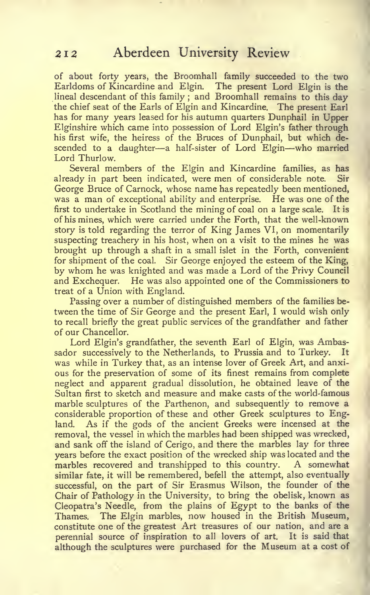of about forty years, the Broomhall family succeeded to the two Earldoms of Kincardine and Elgin. The present Lord Elgin is the lineal descendant of this family ; and Broomhall remains to this day the chief seat of the Earls of Elgin and Kincardine. The present Earl has for many years leased for his autumn quarters Dunphail in Upper Elginshire which came into possession of Lord Elgin's father through his first wife, the heiress of the Bruces of Dunphail, but which descended to <sup>a</sup> daughter—<sup>a</sup> half-sister of Lord Elgin—who married Lord Thurlow.

Several members of the Elgin and Kincardine families, as has already in part been indicated, were men of considerable note. Sir George Bruce of Carnock, whose name has repeatedly been mentioned, was a man of exceptional ability and enterprise. He was one of the first to undertake in Scotland the mining of coal on a large scale. It is of his mines, which were carried under the Forth, that the well-known story is told regarding the terror of King James VI, on momentarily suspecting treachery in his host, when on a visit to the mines he was brought up through a shaft in a small islet in the Forth, convenient for shipment of the coal. Sir George enjoyed the esteem of the King, by whom he was knighted and was made <sup>a</sup> Lord of the Privy Council and Exchequer. He was also appointed one of the Commissioners to treat of a Union with England.

Passing over a number of distinguished members of the families between the time of Sir George and the present Earl, <sup>I</sup> would wish only to recall briefly the great public services of the grandfather and father of our Chancellor.

Lord Elgin's grandfather, the seventh Earl of Elgin, was Ambassador successively to the Netherlands, to Prussia and to Turkey. It was while in Turkey that, as an intense lover of Greek Art, and anxi ous for the preservation of some of its finest remains from complete neglect and apparent gradual dissolution, he obtained leave of the Sultan first to sketch and measure and make casts of the world-famous marble sculptures of the Parthenon, and subsequently to remove a considerable proportion of these and other Greek sculptures to England. As if the gods of the ancient Greeks were incensed at the removal, the vessel in which the marbles had been shipped was wrecked, and sank off the island of Cerigo, and there the marbles lay for three years before the exact position of the wrecked ship was located and the marbles recovered and transhipped to this country. A somewhat similar fate, it will be remembered, befell the attempt, also eventually successful, on the part of Sir Erasmus Wilson, the founder of the Chair of Pathology in the University, to bring the obelisk, known as Cleopatra's Needle, from the plains of Egypt to the banks of the Thames. The Elgin marbles, now housed in the British Museum, constitute one of the greatest Art treasures of our nation, and are a perennial source of inspiration to all lovers of art. It is said that although the sculptures were purchased for the Museum at <sup>a</sup> cost of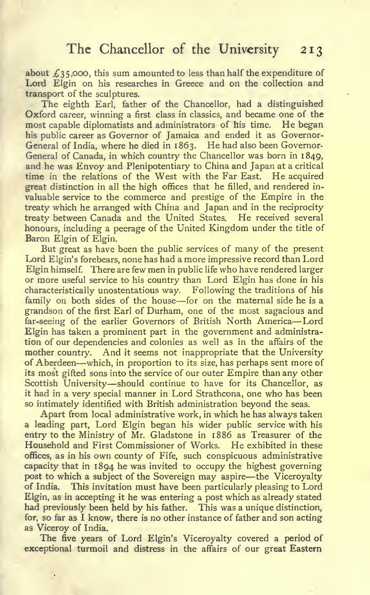about  $f_3$ 35,000, this sum amounted to less than half the expenditure of Lord Elgin on his researches in Greece and on the collection and transport of the sculptures.

The eighth Earl, father of the Chancellor, had a distinguished Oxford career, winning a first class in classics, and became one of the most capable diplomatists and administrators of his time. He began his public career as Governor of Jamaica and ended it as Governor-General of India, where he died in 1863. He had also been Governor-General of Canada, in which country the Chancellor was born in 1849, and he was Envoy and Plenipotentiary to China and Japan at a critical time in the relations of the West with the Far East. He acquired great distinction in all the high offices that he filled, and rendered in valuable service to the commerce and prestige of the Empire in the treaty which he arranged with China and Japan and in the reciprocity treaty between Canada and the United States. He received several honours, including a peerage of the United Kingdom under the title of Baron Elgin of Elgin.

But great as have been the public services of many of the present Lord Elgin's forebears, none has had a more impressive record than Lord Elgin himself. There are few men in public life who have rendered larger or more useful service to his country than Lord Elgin has done in his characteristically unostentatious way. Following the traditions of his family on both sides of the house—for on the maternal side he is <sup>a</sup> grandson of the first Earl of Durham, one of the most sagacious and far-seeing of the earlier Governors of British North America—Lord Elgin has taken a prominent part in the government and administration of our dependencies and colonies as well as in the affairs of the mother country. And it seems not inappropriate that the University of Aberdeen—which, in proportion to its size, has perhaps sent more of its most gifted sons into the service of our outer Empire than any other Scottish University—should continue to have for its Chancellor, as it had in a very special manner in Lord Strathcona, one who has been so intimately identified with British administration beyond the seas.

Apart from local administrative work, in which he has always taken a leading part. Lord Elgin began his wider public service with his entry to the Ministry of Mr. Gladstone in 1886 as Treasurer of the Household and First Commissioner of Works. He exhibited in these offices, as in his own county of Fife, such conspicuous administrative capacity that in 1894 he was invited to occupy the highest governing post to which a subject of the Sovereign may aspire—the Viceroyalty<br>of India. This invitation must have been particularly pleasing to Lord This invitation must have been particularly pleasing to Lord Elgin, as in accepting it he was entering a post which as already stated had previously been held by his father. This was a unique distinction, for, so far as <sup>I</sup> know, there is no other instance of father and son acting as Viceroy of India.

The five years of Lord Elgin's Viceroyalty covered a period of exceptional turmoil and distress in the affairs of our great Eastern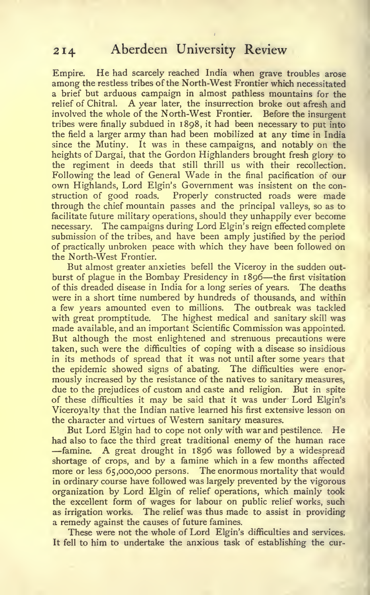Empire, He had scarcely reached India when grave troubles arose among the restless tribes of the North-West Frontier which necessitated a brief but arduous campaign in almost pathless mountains for the relief of Chitral. A year later, the insurrection broke out afresh and involved the whole of the North-West Frontier. Before the insurgent tribes were finally subdued in 1898, it had been necessary to put into the field a larger army than had been mobilized at any time in India since the Mutiny. It was in these campaigns, and notably on the heights of Dargai, that the Gordon Highlanders brought fresh glory to the regiment in deeds that still thrill us with their recollection. Following the lead of General Wade in the final pacification of our own Highlands, Lord Elgin's Government was insistent on the construction of good roads. Properly constructed roads were made through the chief mountain passes and the principal valleys, so as to facilitate future military operations, should they unhappily ever become necessary. The campaigns during Lord Elgin's reign effected complete submission of the tribes, and have been amply justified by the period of practically unbroken peace with which they have been followed on the North-West Frontier.

But almost greater anxieties befell the Viceroy in the sudden out burst of plague in the Bombay Presidency in <sup>1</sup> <sup>896</sup>—the first visitation of this dreaded disease in India for a long series of years. The deaths were in a short time numbered by hundreds of thousands, and within a few years amounted even to millions. The outbreak was tackled with great promptitude. The highest medical and sanitary skill was made available, and an important Scientific Commission was appointed. But although the most enlightened and strenuous precautions were taken, such were the difficulties of coping with a disease so insidious in its methods of spread that it was not until after some years that the epidemic showed signs of abating. The difficulties were enor mously increased by the resistance of the natives to sanitary measures, due to the prejudices of custom and caste and religion. But in spite of these difficulties it may be said that it was under Lord Elgin's Viceroyalty that the Indian native learned his first extensive lesson on the character and virtues of Western sanitary measures.

But Lord Elgin had to cope not only with war and pestilence. He had also to face the third great traditional enemy of the human race<br>—famine. A great drought in 1896 was followed by a widespread shortage of crops, and by a famine which in a few months affected more or less 65,000,000 persons. The enormous mortality that would in ordinary course have followed was largely prevented by the vigorous organization by Lord Elgin of relief operations, which mainly took the excellent form of wages for labour on public relief works, such as irrigation works. The relief was thus made to assist in providing a remedy against the causes of future famines.

These were not the whole of Lord Elgin's difficulties and services. It fell to him to undertake the anxious task of establishing the cur-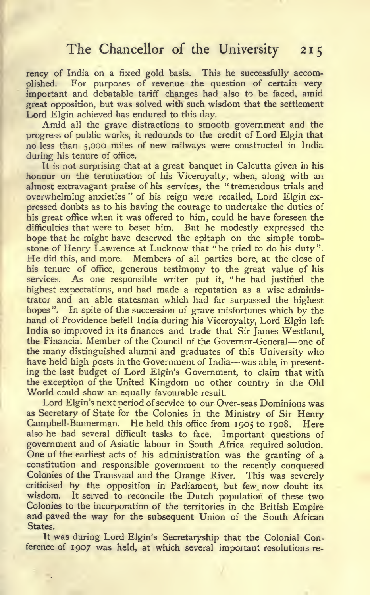rency of India on a fixed gold basis. This he successfully accomplished. For purposes of revenue the question of certain very important and debatable tariff changes had also to be faced, amid great opposition, but was solved with such wisdom that the settlement Lord Elgin achieved has endured to this day.

Amid all the grave distractions to smooth government and the progress of public works, it redounds to the credit of Lord Elgin that no less than 5,000 miles of new railways were constructed in India during his tenure of office.

It is not surprising that at a great banquet in Calcutta given in his honour on the termination of his Viceroyalty, when, along with an almost extravagant praise of his services, the " tremendous trials and overwhelming anxieties " of his reign were recalled. Lord Elgin expressed doubts as to his having the courage to undertake the duties of his great office when it was offered to him, could he have foreseen the difficulties that were to beset him. But he modestly expressed the hope that he might have deserved the epitaph on the simple tombstone of Henry Lawrence at Lucknow that " he tried to do his duty ". He did this, and more. Members of all parties bore, at the close of his tenure of office, generous testimony to the great value of his services. As one responsible writer put it, "he had justified the highest expectations, and had made a reputation as a wise administrator and an able statesman which had far surpassed the highest hopes". In spite of the succession of grave misfortunes which by the hand of Providence befell India during his Viceroyalty, Lord Elgin left India so improved in its finances and trade that Sir James Westland, the Financial Member of the Council of the Governor-General—one of the many distinguished alumni and graduates of this University who have held high posts in the Government of India—was able, in presenting the last budget of Lord Elgin's Government, to claim that with the exception of the United Kingdom no other country in the Old World could show an equally favourable result.

Lord Elgin's next period of service to our Over-seas Dominions was as Secretary of State for the Colonies in the Ministry of Sir Henry Campbell-Bannerman. He held this office from 1905 to 1908. Here also he had several difficult tasks to face. Important questions of government and of Asiatic labour in South Africa required solution. One of the earliest acts of his administration was the granting of a constitution and responsible government to the recently conquered Colonies of the Transvaal and the Orange River. This was severely criticised by the opposition in Parliament, but few now doubt its wisdom. It served to reconcile the Dutch population of these two Colonies to the incorporation of the territories in the British Empire and paved the way for the subsequent Union of the South African States.

It was during Lord Elgin's Secretaryship that the Colonial Conference of 1907 was held, at which several important resolutions re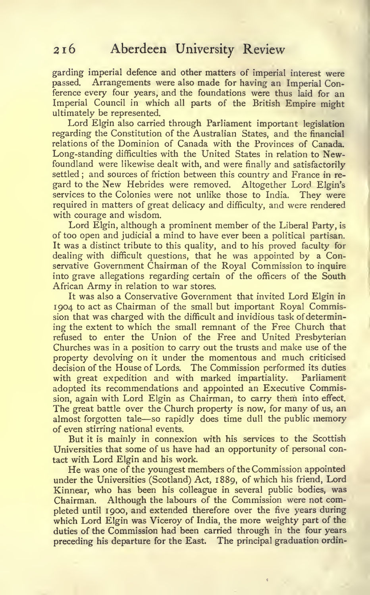garding imperial defence and other matters of imperial interest were passed. Arrangements were also made for having an Imperial Conference every four years, and the foundations were thus laid for an Imperial Council in which all parts of the British Empire might ultimately be represented.

Lord Elgin also carried through Parliament important legislation regarding the Constitution of the Australian States, and the financial relations of the Dominion of Canada with the Provinces of Canada. Long-standing difficulties with the United States in relation to Newfoundland were likewise dealt with, and were finally and satisfactorily settled ; and sources of friction between this country and France in regard to the New Hebrides were removed. Altogether Lord Elgin's services to the Colonies were not unlike those to India. They were required in matters of great delicacy and difficulty, and were rendered with courage and wisdom.

Lord Elgin, although a prominent member of the Liberal Party, is of too open and judicial a mind to have ever been a political partisan. It was a distinct tribute to this quality, and to his proved faculty for dealing with difficult questions, that he was appointed by a Conservative Government Chairman of the Royal Commission to inquire into grave allegations regarding certain of the officers of the South African Army in relation to war stores.

It was also a Conservative Government that invited Lord Elgin in 1904 to act as Chairman of the small but important Royal Commission that was charged with the difficult and invidious task of determining the extent to which the small remnant of the Free Church that refused to enter the Union of the Free and United Presbyterian Churches was in a position to carry out the trusts and make use of the property devolving on it under the momentous and much criticised decision of the House of Lords. The Commission performed its duties with great expedition and with marked impartiality. Parliament adopted its recommendations and appointed an Executive Commission, again with Lord Elgin as Chairman, to carry them into effect. The great battle over the Church property is now, for many of us, an almost forgotten tale—so rapidly does time dull the public memory of even stirring national events.

But it is mainly in connexion with his services to the Scottish Universities that some of us have had an opportunity of personal contact with Lord Elgin and his work.

He was one of the youngest members of the Commission appointed under the Universities (Scotland) Act, 1889, of which his friend. Lord Kinnear, who has been his colleague in several public bodies, was Chairman. Although the labours of the Commission were not completed until 1900, and extended therefore over the five years during which Lord Elgin was Viceroy of India, the more weighty part of the duties of the Commission had been carried through in the four years preceding his departure for the East. The principal graduation ordin-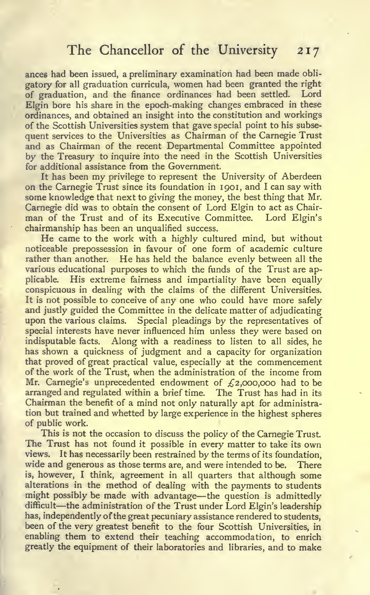#### The Chancellor of the University 217

ances had been issued, a preliminary examination had been made obligatory for all graduation curricula, women had been granted the right of graduation, and the finance ordinances had been settled. Lord Elgin bore his share in the epoch-making changes embraced in these ordinances, and obtained an insight into the constitution and workings of the Scottish Universities system that gave special point to his subsequent services to the Universities as Chairman of the Carnegie Trust and as Chairman of the recent Departmental Committee appointed by the Treasury to inquire into the need in the Scottish Universities for additional assistance from the Government.

It has been my privilege to represent the University of Aberdeen on the Carnegie Trust since its foundation in 1901, and <sup>I</sup> can say with some knowledge that next to giving the money, the best thing that Mr. Carnegie did was to obtain the consent of Lord Elgin to act as Chairman of the Trust and of its Executive Committee. Lord Elgin's chairmanship has been an unqualified success.

He came to the work with <sup>a</sup> highly cultured mind, but without noticeable prepossession in favour of one form of academic culture rather than another. He has held the balance evenly between all the various educational purposes to which the funds of the Trust are applicable. His extreme fairness and impartiality have been equally conspicuous in dealing with the claims of the different Universities. It is not possible to conceive of any one who could have more safely and justly guided the Committee in the delicate matter of adjudicating upon the various claims. Special pleadings by the representatives of special interests have never influenced him unless they were based on indisputable facts. Along with a readiness to listen to all sides, he has shown a quickness of judgment and a capacity for organization that proved of great practical value, especially at the commencement of the work of the Trust, when the administration of the income from Mr. Carnegie's unprecedented endowment of  $f_1$ ,000,000 had to be arranged and regulated within a brief time. The Trust has had in its Chairman the benefit of a mind not only naturally apt for administration but trained and whetted by large experience in the highest spheres of public work.

This is not the occasion to discuss the policy of the Carnegie Trust. The Trust has not found it possible in every matter to take its own views. It has necessarily been restrained by the terms of its foundation, wide and generous as those terms are, and were intended to be. There is, however, <sup>I</sup> think, agreement in all quarters that although some alterations in the method of dealing with the payments to students might possibly be made with advantage—the question is admittedly difficult—the administration of the Trust under Lord Elgin's leadership has, independently of the great pecuniary assistance rendered to students, been of the very greatest benefit to the four Scottish Universities, in enabling them to extend their teaching accommodation, to enrich greatly the equipment of their laboratories and libraries, and to make